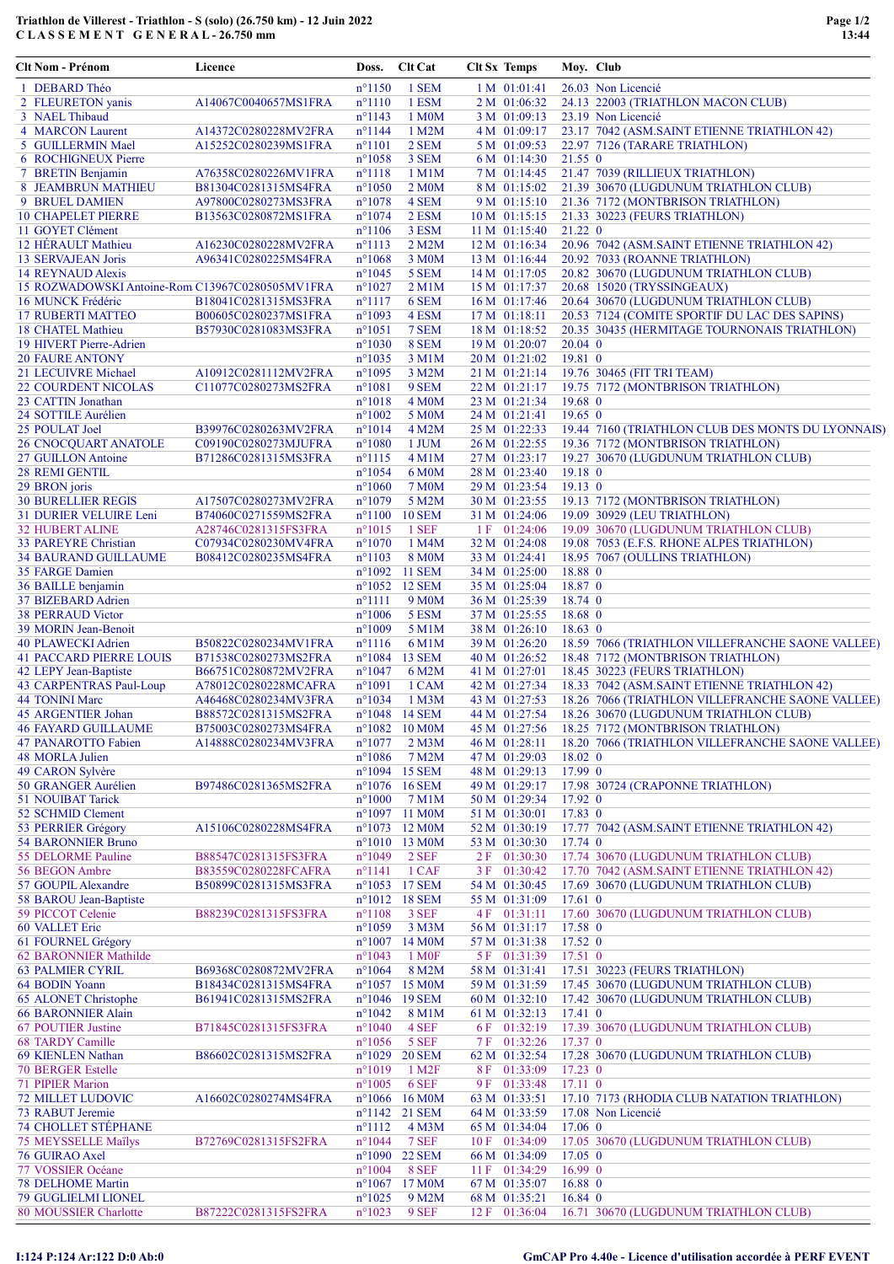## Triathlon de Villerest - Triathlon - S (solo) (26.750 km) - 12 Juin 2022 C L A S S E M E N T G E N E R A L - 26.750 mm

| Clt Nom - Prénom                                | Licence              | Doss.                              | Clt Cat                | <b>Clt Sx Temps</b>            | Moy. Club          |                                                   |
|-------------------------------------------------|----------------------|------------------------------------|------------------------|--------------------------------|--------------------|---------------------------------------------------|
| 1 DEBARD Théo                                   |                      | $n^{\circ}1150$                    | 1 SEM                  | 1 M 01:01:41                   |                    | 26.03 Non Licencié                                |
| 2 FLEURETON yanis                               | A14067C0040657MS1FRA | $n^{\circ}1110$                    | 1 ESM                  | 2 M 01:06:32                   |                    | 24.13 22003 (TRIATHLON MACON CLUB)                |
| 3 NAEL Thibaud                                  |                      | $n^{\circ}1143$                    | 1 M <sub>0</sub> M     | 3 M 01:09:13                   |                    | 23.19 Non Licencié                                |
| 4 MARCON Laurent                                | A14372C0280228MV2FRA | $n^{\circ}$ 1144                   | 1 M2M                  | 4 M 01:09:17                   |                    | 23.17 7042 (ASM.SAINT ETIENNE TRIATHLON 42)       |
| 5 GUILLERMIN Mael                               | A15252C0280239MS1FRA | $n^{\circ}1101$                    | 2 SEM                  | 5 M 01:09:53                   |                    | 22.97 7126 (TARARE TRIATHLON)                     |
| <b>6 ROCHIGNEUX Pierre</b>                      |                      | $n^{\circ}1058$                    | 3 SEM                  | 6 M 01:14:30                   | 21.55 0            |                                                   |
| 7 BRETIN Benjamin                               | A76358C0280226MV1FRA | $n^{\circ}1118$                    | 1 M1M                  | 7 M 01:14:45                   |                    | 21.47 7039 (RILLIEUX TRIATHLON)                   |
| 8 JEAMBRUN MATHIEU                              | B81304C0281315MS4FRA | $n^{\circ}1050$                    | 2 M <sub>0</sub> M     | 8 M 01:15:02                   |                    | 21.39 30670 (LUGDUNUM TRIATHLON CLUB)             |
| <b>9 BRUEL DAMIEN</b>                           | A97800C0280273MS3FRA | $n^{\circ}1078$                    | 4 SEM                  | 9 M 01:15:10                   |                    | 21.36 7172 (MONTBRISON TRIATHLON)                 |
| <b>10 CHAPELET PIERRE</b>                       | B13563C0280872MS1FRA | $n^{\circ}1074$                    | 2 ESM<br>3 ESM         | 10 M 01:15:15                  |                    | 21.33 30223 (FEURS TRIATHLON)                     |
| 11 GOYET Clément<br>12 HÉRAULT Mathieu          | A16230C0280228MV2FRA | $n^{\circ}1106$<br>$n^{\circ}1113$ | 2 M2M                  | 11 M 01:15:40<br>12 M 01:16:34 | 21.22 0            | 20.96 7042 (ASM.SAINT ETIENNE TRIATHLON 42)       |
| 13 SERVAJEAN Joris                              | A96341C0280225MS4FRA | $n^{\circ}1068$                    | 3 M0M                  | 13 M 01:16:44                  |                    | 20.92 7033 (ROANNE TRIATHLON)                     |
| 14 REYNAUD Alexis                               |                      | $n^{\circ}1045$                    | 5 SEM                  | $14 M$ 01:17:05                |                    | 20.82 30670 (LUGDUNUM TRIATHLON CLUB)             |
| 15 ROZWADOWSKI Antoine-Rom C13967C0280505MV1FRA |                      | $n^{\circ}1027$                    | $2$ M $1$ M            | 15 M 01:17:37                  |                    | 20.68 15020 (TRYSSINGEAUX)                        |
| 16 MUNCK Frédéric                               | B18041C0281315MS3FRA | $n^{\circ}1117$                    | 6 SEM                  | 16 M 01:17:46                  |                    | 20.64 30670 (LUGDUNUM TRIATHLON CLUB)             |
| <b>17 RUBERTI MATTEO</b>                        | B00605C0280237MS1FRA | $n^{\circ}1093$                    | 4 ESM                  | 17 M 01:18:11                  |                    | 20.53 7124 (COMITE SPORTIF DU LAC DES SAPINS)     |
| 18 CHATEL Mathieu                               | B57930C0281083MS3FRA | $n^{\circ}1051$                    | 7 SEM                  | 18 M 01:18:52                  |                    | 20.35 30435 (HERMITAGE TOURNONAIS TRIATHLON)      |
| 19 HIVERT Pierre-Adrien                         |                      | $n^{\circ}1030$                    | 8 SEM                  | 19 M 01:20:07                  | $20.04 \text{ } 0$ |                                                   |
| <b>20 FAURE ANTONY</b>                          |                      | $n^{\circ}1035$                    | 3 M1M                  | 20 M 01:21:02                  | 19.81 0            |                                                   |
| 21 LECUIVRE Michael                             | A10912C0281112MV2FRA | $n^{\circ}1095$                    | 3 M2M                  | 21 M 01:21:14                  |                    | 19.76 30465 (FIT TRI TEAM)                        |
| <b>22 COURDENT NICOLAS</b>                      | C11077C0280273MS2FRA | $n^{\circ}1081$                    | 9 SEM                  | 22 M 01:21:17                  |                    | 19.75 7172 (MONTBRISON TRIATHLON)                 |
| 23 CATTIN Jonathan                              |                      | $n^{\circ}1018$                    | 4 M <sub>0</sub> M     | 23 M 01:21:34                  | $19.68 \text{ o}$  |                                                   |
| 24 SOTTILE Aurélien                             |                      | $n^{\circ}1002$                    | 5 M0M                  | 24 M 01:21:41                  | $19.65 \text{ o}$  |                                                   |
| 25 POULAT Joel                                  | B39976C0280263MV2FRA | $n^{\circ}1014$                    | 4 M2M                  | 25 M 01:22:33                  |                    | 19.44 7160 (TRIATHLON CLUB DES MONTS DU LYONNAIS) |
| <b>26 CNOCQUART ANATOLE</b>                     | C09190C0280273MJUFRA | $n^{\circ}1080$                    | 1 JUM                  | 26 M 01:22:55                  |                    | 19.36 7172 (MONTBRISON TRIATHLON)                 |
| 27 GUILLON Antoine                              | B71286C0281315MS3FRA | $n^{\circ}1115$                    | $4$ M $1$ M            | 27 M 01:23:17                  |                    | 19.27 30670 (LUGDUNUM TRIATHLON CLUB)             |
| <b>28 REMI GENTIL</b>                           |                      | $n^{\circ}1054$                    | 6 M0M                  | 28 M 01:23:40                  | $19.18 \text{ } 0$ |                                                   |
| 29 BRON joris                                   |                      | $n^{\circ}1060$                    | <b>7 M0M</b>           | 29 M 01:23:54                  | $19.13 \text{ } 0$ |                                                   |
| <b>30 BURELLIER REGIS</b>                       | A17507C0280273MV2FRA | $n^{\circ}1079$                    | 5 M2M                  | 30 M 01:23:55                  |                    | 19.13 7172 (MONTBRISON TRIATHLON)                 |
| 31 DURIER VELUIRE Leni                          | B74060C0271559MS2FRA | $n^{\circ}1100$                    | <b>10 SEM</b>          | 31 M 01:24:06                  |                    | 19.09 30929 (LEU TRIATHLON)                       |
| <b>32 HUBERT ALINE</b>                          | A28746C0281315FS3FRA | $n^{\circ}1015$                    | 1 SEF                  | 1 F 01:24:06                   |                    | 19.09 30670 (LUGDUNUM TRIATHLON CLUB)             |
| 33 PAREYRE Christian                            | C07934C0280230MV4FRA | $n^{\circ}1070$                    | 1 M4M                  | 32 M 01:24:08                  |                    | 19.08 7053 (E.F.S. RHONE ALPES TRIATHLON)         |
| <b>34 BAURAND GUILLAUME</b>                     | B08412C0280235MS4FRA | $n^{\circ}1103$                    | <b>8 M0M</b>           | 33 M 01:24:41                  |                    | 18.95 7067 (OULLINS TRIATHLON)                    |
| 35 FARGE Damien                                 |                      |                                    | n°1092 11 SEM          | 34 M 01:25:00                  | 18.88 0            |                                                   |
| 36 BAILLE benjamin                              |                      |                                    | n°1052 12 SEM          | 35 M 01:25:04                  | 18.87 0            |                                                   |
| 37 BIZEBARD Adrien                              |                      | $n^{\circ}1111$                    | 9 M <sub>0</sub> M     | 36 M 01:25:39                  | 18.74 0            |                                                   |
| <b>38 PERRAUD Victor</b>                        |                      | $n^{\circ}1006$                    | 5 ESM                  | 37 M 01:25:55                  | 18.68 0            |                                                   |
| 39 MORIN Jean-Benoit                            |                      | $n^{\circ}1009$                    | 5 M1M                  | 38 M 01:26:10                  | $18.63 \text{ } 0$ |                                                   |
| 40 PLAWECKI Adrien                              | B50822C0280234MV1FRA | $n^{\circ}1116$                    | 6 M1M                  | 39 M 01:26:20                  |                    | 18.59 7066 (TRIATHLON VILLEFRANCHE SAONE VALLEE)  |
| <b>41 PACCARD PIERRE LOUIS</b>                  | B71538C0280273MS2FRA | $n^{\circ}1084$                    | <b>13 SEM</b>          | 40 M 01:26:52                  |                    | 18.48 7172 (MONTBRISON TRIATHLON)                 |
| 42 LEPY Jean-Baptiste                           | B66751C0280872MV2FRA | $n^{\circ}1047$                    | 6 M2M                  | 41 M 01:27:01                  |                    | 18.45 30223 (FEURS TRIATHLON)                     |
| <b>43 CARPENTRAS Paul-Loup</b>                  | A78012C0280228MCAFRA | $n^{\circ}1091$                    | 1 CAM                  | 42 M 01:27:34                  |                    | 18.33 7042 (ASM.SAINT ETIENNE TRIATHLON 42)       |
| 44 TONINI Marc                                  | A46468C0280234MV3FRA | $n^{\circ}1034$                    | 1 M3M                  | 43 M 01:27:53                  |                    | 18.26 7066 (TRIATHLON VILLEFRANCHE SAONE VALLEE)  |
| 45 ARGENTIER Johan                              | B88572C0281315MS2FRA |                                    | $n^{\circ}1048$ 14 SEM | 44 M 01:27:54                  |                    | 18.26 30670 (LUGDUNUM TRIATHLON CLUB)             |
| <b>46 FAYARD GUILLAUME</b>                      | B75003C0280273MS4FRA |                                    | n°1082 10 M0M          | 45 M 01:27:56                  |                    | 18.25 7172 (MONTBRISON TRIATHLON)                 |
| 47 PANAROTTO Fabien                             | A14888C0280234MV3FRA | $n^{\circ}1077$                    | $2$ M $3$ M            | 46 M 01:28:11                  |                    | 18.20 7066 (TRIATHLON VILLEFRANCHE SAONE VALLEE)  |
| 48 MORLA Julien                                 |                      | $n^{\circ}1086$                    | 7 M2M                  | 47 M 01:29:03                  | 18.02 0            |                                                   |
| 49 CARON Sylvère                                |                      |                                    | n°1094 15 SEM          | 48 M 01:29:13                  | 17.99 0            |                                                   |
| 50 GRANGER Aurélien                             | B97486C0281365MS2FRA |                                    | n°1076 16 SEM          | 49 M 01:29:17                  |                    | 17.98 30724 (CRAPONNE TRIATHLON)                  |
| 51 NOUIBAT Tarick                               |                      | $n^{\circ}1000$                    | 7 M1M                  | 50 M 01:29:34                  | 17.92 0            |                                                   |
| 52 SCHMID Clement                               |                      |                                    | n°1097 11 M0M          | 51 M 01:30:01                  | 17.83 0            |                                                   |
| 53 PERRIER Grégory                              | A15106C0280228MS4FRA |                                    | n°1073 12 M0M          | 52 M 01:30:19                  |                    | 17.77 7042 (ASM.SAINT ETIENNE TRIATHLON 42)       |
| <b>54 BARONNIER Bruno</b>                       |                      |                                    | n°1010 13 M0M          | 53 M 01:30:30                  | 17.74 0            |                                                   |
| 55 DELORME Pauline                              | B88547C0281315FS3FRA | $n^{\circ}1049$                    | 2 SEF                  | 2 F 01:30:30                   |                    | 17.74 30670 (LUGDUNUM TRIATHLON CLUB)             |
| 56 BEGON Ambre                                  | B83559C0280228FCAFRA | $n^{\circ}1141$                    | 1 CAF                  | 3 F 01:30:42                   |                    | 17.70 7042 (ASM.SAINT ETIENNE TRIATHLON 42)       |
| 57 GOUPIL Alexandre                             | B50899C0281315MS3FRA |                                    | n°1053 17 SEM          | 54 M 01:30:45                  |                    | 17.69 30670 (LUGDUNUM TRIATHLON CLUB)             |
| 58 BAROU Jean-Baptiste                          |                      |                                    | n°1012 18 SEM          | 55 M 01:31:09                  | $17.61$ 0          |                                                   |
| 59 PICCOT Celenie                               | B88239C0281315FS3FRA | $n^{\circ}1108$                    | 3 SEF                  | 4F 01:31:11                    |                    | 17.60 30670 (LUGDUNUM TRIATHLON CLUB)             |
| <b>60 VALLET Eric</b>                           |                      | $n^{\circ}1059$                    | 3 M3M                  | 56 M 01:31:17                  | 17.58 0            |                                                   |
| 61 FOURNEL Grégory                              |                      |                                    | n°1007 14 M0M          | 57 M 01:31:38                  | 17.52 0            |                                                   |
| 62 BARONNIER Mathilde                           |                      | $n^{\circ}1043$                    | 1 M <sub>OF</sub>      | 5F 01:31:39                    | 17.51 0            |                                                   |
| <b>63 PALMIER CYRIL</b>                         | B69368C0280872MV2FRA | $n^{\circ}1064$                    | 8 M2M                  | 58 M 01:31:41                  |                    | 17.51 30223 (FEURS TRIATHLON)                     |
| 64 BODIN Yoann                                  | B18434C0281315MS4FRA |                                    | $n^{\circ}1057$ 15 M0M | 59 M 01:31:59                  |                    | 17.45 30670 (LUGDUNUM TRIATHLON CLUB)             |
| 65 ALONET Christophe                            | B61941C0281315MS2FRA |                                    | n°1046 19 SEM          | 60 M 01:32:10                  |                    | 17.42 30670 (LUGDUNUM TRIATHLON CLUB)             |
| <b>66 BARONNIER Alain</b>                       |                      | $n^{\circ}1042$                    | 8 M1M                  | 61 M 01:32:13                  | 17.41 0            |                                                   |
| 67 POUTIER Justine                              | B71845C0281315FS3FRA | $n^{\circ}1040$                    | 4 SEF                  | 6 F 01:32:19                   |                    | 17.39 30670 (LUGDUNUM TRIATHLON CLUB)             |
| 68 TARDY Camille                                |                      | $n^{\circ}1056$                    | 5 SEF                  | 7 F 01:32:26                   | 17.37 0            |                                                   |
| 69 KIENLEN Nathan                               | B86602C0281315MS2FRA |                                    | n°1029 20 SEM          | 62 M 01:32:54                  |                    | 17.28 30670 (LUGDUNUM TRIATHLON CLUB)             |
| 70 BERGER Estelle                               |                      | $n^{\circ}1019$                    | 1 M <sub>2</sub> F     | 8F 01:33:09                    | $17.23 \text{ } 0$ |                                                   |
| 71 PIPIER Marion                                |                      | $n^{\circ}1005$                    | 6 SEF                  | 9F 01:33:48                    | $17.11$ 0          |                                                   |
| <b>72 MILLET LUDOVIC</b>                        | A16602C0280274MS4FRA |                                    | n°1066 16 M0M          | 63 M 01:33:51                  |                    | 17.10 7173 (RHODIA CLUB NATATION TRIATHLON)       |
| 73 RABUT Jeremie                                |                      |                                    | n°1142 21 SEM          | 64 M 01:33:59                  |                    | 17.08 Non Licencié                                |
| <b>74 CHOLLET STÉPHANE</b>                      |                      | $n^{\circ}1112$                    | 4 M3M                  | 65 M 01:34:04                  | 17.06 0            |                                                   |
| 75 MEYSSELLE Maïlys                             | B72769C0281315FS2FRA | $n^{\circ}1044$                    | 7 SEF                  | 10 F 01:34:09                  |                    | 17.05 30670 (LUGDUNUM TRIATHLON CLUB)             |
| 76 GUIRAO Axel                                  |                      |                                    | n°1090 22 SEM          | 66 M 01:34:09                  | $17.05 \text{ o}$  |                                                   |
| 77 VOSSIER Océane                               |                      | $n^{\circ}1004$                    | 8 SEF<br>n°1067 17 M0M | 11 F 01:34:29<br>67 M 01:35:07 | 16.990<br>16.88 0  |                                                   |
| 78 DELHOME Martin<br><b>79 GUGLIELMI LIONEL</b> |                      | $n^{\circ}1025$                    | 9 M2M                  |                                | $16.84 \text{ } 0$ |                                                   |
| 80 MOUSSIER Charlotte                           | B87222C0281315FS2FRA | $n^{\circ}1023$                    | 9 SEF                  | 68 M 01:35:21<br>12 F 01:36:04 |                    | 16.71 30670 (LUGDUNUM TRIATHLON CLUB)             |
|                                                 |                      |                                    |                        |                                |                    |                                                   |